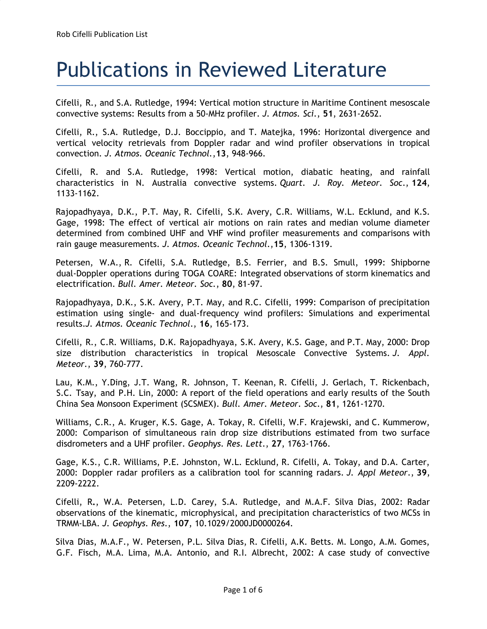## Publications in Reviewed Literature

Cifelli, R., and S.A. Rutledge, 1994: Vertical motion structure in Maritime Continent mesoscale convective systems: Results from a 50-MHz profiler. *J. Atmos. Sci.*, **51**, 2631-2652.

Cifelli, R., S.A. Rutledge, D.J. Boccippio, and T. Matejka, 1996: Horizontal divergence and vertical velocity retrievals from Doppler radar and wind profiler observations in tropical convection. *J. Atmos. Oceanic Technol.*,**13**, 948-966.

Cifelli, R. and S.A. Rutledge, 1998: Vertical motion, diabatic heating, and rainfall characteristics in N. Australia convective systems. *Quart. J. Roy. Meteor. Soc*., **124**, 1133-1162.

Rajopadhyaya, D.K., P.T. May, R. Cifelli, S.K. Avery, C.R. Williams, W.L. Ecklund, and K.S. Gage, 1998: The effect of vertical air motions on rain rates and median volume diameter determined from combined UHF and VHF wind profiler measurements and comparisons with rain gauge measurements. *J. Atmos. Oceanic Technol*.,**15**, 1306-1319.

Petersen, W.A., R. Cifelli, S.A. Rutledge, B.S. Ferrier, and B.S. Smull, 1999: Shipborne dual-Doppler operations during TOGA COARE: Integrated observations of storm kinematics and electrification. *Bull. Amer. Meteor. Soc.*, **80**, 81-97.

Rajopadhyaya, D.K., S.K. Avery, P.T. May, and R.C. Cifelli, 1999: Comparison of precipitation estimation using single- and dual-frequency wind profilers: Simulations and experimental results.*J. Atmos. Oceanic Technol*., **16**, 165-173.

Cifelli, R., C.R. Williams, D.K. Rajopadhyaya, S.K. Avery, K.S. Gage, and P.T. May, 2000: Drop size distribution characteristics in tropical Mesoscale Convective Systems. *J. Appl. Meteor.*, **39**, 760-777.

Lau, K.M., Y.Ding, J.T. Wang, R. Johnson, T. Keenan, R. Cifelli, J. Gerlach, T. Rickenbach, S.C. Tsay, and P.H. Lin, 2000: A report of the field operations and early results of the South China Sea Monsoon Experiment (SCSMEX). *Bull. Amer. Meteor. Soc*., **81**, 1261-1270.

Williams, C.R., A. Kruger, K.S. Gage, A. Tokay, R. Cifelli, W.F. Krajewski, and C. Kummerow, 2000: Comparison of simultaneous rain drop size distributions estimated from two surface disdrometers and a UHF profiler. *Geophys. Res. Lett*., **27**, 1763-1766.

Gage, K.S., C.R. Williams, P.E. Johnston, W.L. Ecklund, R. Cifelli, A. Tokay, and D.A. Carter, 2000: Doppler radar profilers as a calibration tool for scanning radars. *J. Appl Meteor*., **39**, 2209-2222.

Cifelli, R**.**, W.A. Petersen, L.D. Carey, S.A. Rutledge, and M.A.F. Silva Dias, 2002: Radar observations of the kinematic, microphysical, and precipitation characteristics of two MCSs in TRMM-LBA. *J. Geophys. Res*., **107**, 10.1029/2000JD0000264.

Silva Dias, M.A.F., W. Petersen, P.L. Silva Dias, R. Cifelli, A.K. Betts. M. Longo, A.M. Gomes, G.F. Fisch, M.A. Lima, M.A. Antonio, and R.I. Albrecht, 2002: A case study of convective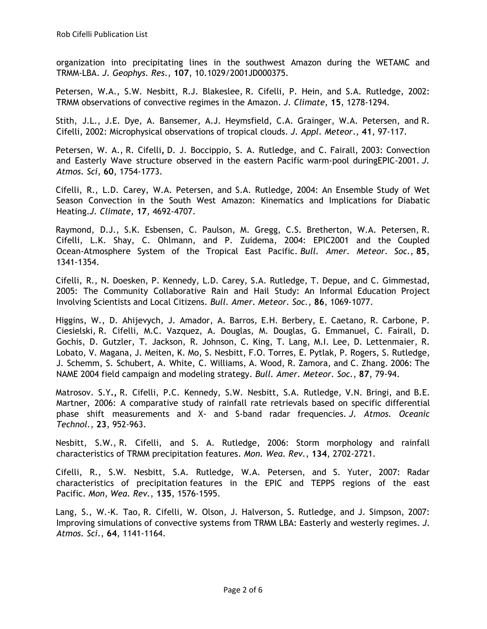organization into precipitating lines in the southwest Amazon during the WETAMC and TRMM-LBA. *J. Geophys. Res*., **107**, 10.1029/2001JD000375.

Petersen, W.A., S.W. Nesbitt, R.J. Blakeslee, R. Cifelli, P. Hein, and S.A. Rutledge, 2002: TRMM observations of convective regimes in the Amazon. *J. Climate*, **15**, 1278-1294.

Stith, J.L., J.E. Dye, A. Bansemer, A.J. Heymsfield, C.A. Grainger, W.A. Petersen, and R. Cifelli, 2002: Microphysical observations of tropical clouds. *J. Appl. Meteor*., **41**, 97-117.

Petersen, W. A., R. Cifelli**,** D. J. Boccippio, S. A. Rutledge, and C. Fairall, 2003: Convection and Easterly Wave structure observed in the eastern Pacific warm-pool duringEPIC-2001. *J. Atmos. Sci*, **60**, 1754-1773.

Cifelli, R., L.D. Carey, W.A. Petersen, and S.A. Rutledge, 2004: An Ensemble Study of Wet Season Convection in the South West Amazon: Kinematics and Implications for Diabatic Heating.*J. Climate*, **17**, 4692-4707.

Raymond, D.J., S.K. Esbensen, C. Paulson, M. Gregg, C.S. Bretherton, W.A. Petersen, R. Cifelli, L.K. Shay, C. Ohlmann, and P. Zuidema, 2004: EPIC2001 and the Coupled Ocean-Atmosphere System of the Tropical East Pacific. *Bull. Amer. Meteor. Soc.*, **85**, 1341-1354.

Cifelli, R., N. Doesken, P. Kennedy, L.D. Carey, S.A. Rutledge, T. Depue, and C. Gimmestad, 2005: The Community Collaborative Rain and Hail Study: An Informal Education Project Involving Scientists and Local Citizens. *Bull. Amer. Meteor. Soc.*, **86**, 1069-1077.

Higgins, W., D. Ahijevych, J. Amador, A. Barros, E.H. Berbery, E. Caetano, R. Carbone, P. Ciesielski, R. Cifelli, M.C. Vazquez, A. Douglas, M. Douglas, G. Emmanuel, C. Fairall, D. Gochis, D. Gutzler, T. Jackson, R. Johnson, C. King, T. Lang, M.I. Lee, D. Lettenmaier, R. Lobato, V. Magana, J. Meiten, K. Mo, S. Nesbitt, F.O. Torres, E. Pytlak, P. Rogers, S. Rutledge, J. Schemm, S. Schubert, A. White, C. Williams, A. Wood, R. Zamora, and C. Zhang. 2006: The NAME 2004 field campaign and modeling strategy. *Bull. Amer. Meteor. Soc.*, **87**, 79-94.

Matrosov. S.Y**.,** R. Cifelli, P.C. Kennedy, S.W. Nesbitt, S.A. Rutledge, V.N. Bringi, and B.E. Martner, 2006: A comparative study of rainfall rate retrievals based on specific differential phase shift measurements and X- and S-band radar frequencies. *J. Atmos. Oceanic Technol.*, **23**, 952-963.

Nesbitt, S.W., R. Cifelli, and S. A. Rutledge, 2006: Storm morphology and rainfall characteristics of TRMM precipitation features. *Mon. Wea. Rev.*, **134**, 2702-2721.

Cifelli, R., S.W. Nesbitt, S.A. Rutledge, W.A. Petersen, and S. Yuter, 2007: Radar characteristics of precipitation features in the EPIC and TEPPS regions of the east Pacific. *Mon, Wea. Rev.*, **135**, 1576-1595.

Lang, S., W.-K. Tao, R. Cifelli, W. Olson, J. Halverson, S. Rutledge, and J. Simpson, 2007: Improving simulations of convective systems from TRMM LBA: Easterly and westerly regimes. *J. Atmos. Sci.*, **64**, 1141-1164.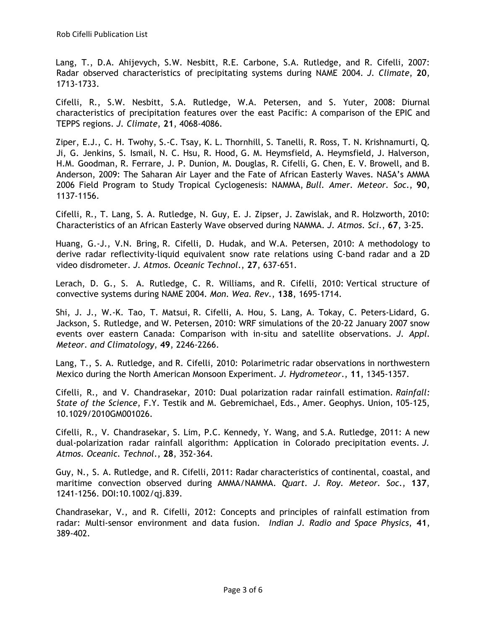Lang, T., D.A. Ahijevych, S.W. Nesbitt, R.E. Carbone, S.A. Rutledge, and R. Cifelli, 2007: Radar observed characteristics of precipitating systems during NAME 2004. *J. Climate*, **20**, 1713-1733.

Cifelli, R., S.W. Nesbitt, S.A. Rutledge, W.A. Petersen, and S. Yuter, 2008: Diurnal characteristics of precipitation features over the east Pacific: A comparison of the EPIC and TEPPS regions. *J. Climate*, **21**, 4068-4086.

Ziper, E.J., C. H. Twohy, S.-C. Tsay, K. L. Thornhill, S. Tanelli, R. Ross, T. N. Krishnamurti, Q. Ji, G. Jenkins, S. Ismail, N. C. Hsu, R. Hood, G. M. Heymsfield, A. Heymsfield, J. Halverson, H.M. Goodman, R. Ferrare, J. P. Dunion, M. Douglas, R. Cifelli, G. Chen, E. V. Browell, and B. Anderson, 2009: The Saharan Air Layer and the Fate of African Easterly Waves. NASA's AMMA 2006 Field Program to Study Tropical Cyclogenesis: NAMMA, *Bull. Amer. Meteor. Soc*., **90**, 1137-1156.

Cifelli, R., T. Lang, S. A. Rutledge, N. Guy, E. J. Zipser, J. Zawislak, and R. Holzworth, 2010: Characteristics of an African Easterly Wave observed during NAMMA. *J. Atmos. Sci*., **67**, 3-25.

Huang, G.-J., V.N. Bring, R. Cifelli, D. Hudak, and W.A. Petersen, 2010: A methodology to derive radar reflectivity-liquid equivalent snow rate relations using C-band radar and a 2D video disdrometer. *J. Atmos. Oceanic Technol*., **27**, 637-651.

Lerach, D. G., S. A. Rutledge, C. R. Williams, and R. Cifelli, 2010: Vertical structure of convective systems during NAME 2004. *Mon. Wea. Rev*., **138**, 1695-1714.

Shi, J. J., W.-K. Tao, T. Matsui, R. Cifelli, A. Hou, S. Lang, A. Tokay, C. Peters-Lidard, G. Jackson, S. Rutledge, and W. Petersen, 2010: WRF simulations of the 20-22 January 2007 snow events over eastern Canada: Comparison with in-situ and satellite observations. *J. Appl. Meteor. and Climatology*, **49**, 2246-2266.

Lang, T., S. A. Rutledge, and R. Cifelli, 2010: Polarimetric radar observations in northwestern Mexico during the North American Monsoon Experiment. *J. Hydrometeor*., **11**, 1345-1357.

Cifelli, R., and V. Chandrasekar, 2010: Dual polarization radar rainfall estimation. *Rainfall: State of the Science*, F.Y. Testik and M. Gebremichael, Eds., Amer. Geophys. Union, 105-125, 10.1029/2010GM001026.

Cifelli, R., V. Chandrasekar, S. Lim, P.C. Kennedy, Y. Wang, and S.A. Rutledge, 2011: A new dual-polarization radar rainfall algorithm: Application in Colorado precipitation events. *J. Atmos. Oceanic. Technol*., **28**, 352-364.

Guy, N., S. A. Rutledge, and R. Cifelli, 2011: Radar characteristics of continental, coastal, and maritime convection observed during AMMA/NAMMA. *Quart. J. Roy. Meteor. Soc*., **137**, 1241-1256. DOI:10.1002/qj.839.

Chandrasekar, V., and R. Cifelli, 2012: Concepts and principles of rainfall estimation from radar: Multi-sensor environment and data fusion. *Indian J. Radio and Space Physics*, **41**, 389-402.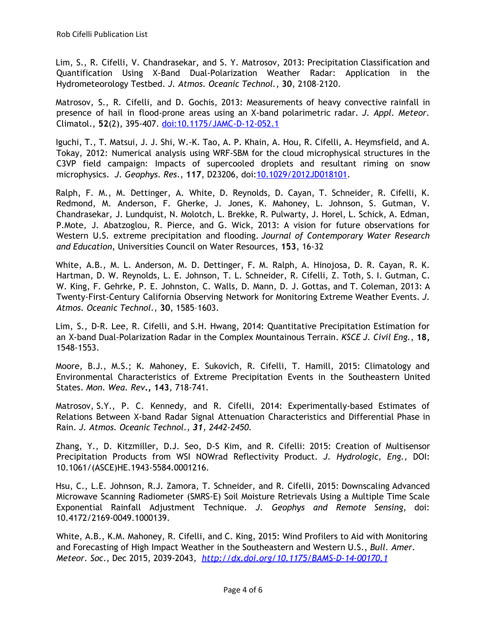Lim, S., R. Cifelli, V. Chandrasekar, and S. Y. Matrosov, 2013: Precipitation Classification and Quantification Using X-Band Dual-Polarization Weather Radar: Application in the Hydrometeorology Testbed. *J. Atmos. Oceanic Technol.*, **30**, 2108–2120.

Matrosov, S., R. Cifelli, and D. Gochis, 2013: Measurements of heavy convective rainfall in presence of hail in flood-prone areas using an X-band polarimetric radar. *J. Appl. Meteor.* Climatol., **52**(2), 395-407. [doi:10.1175/JAMC-D-12-052.1](http://dx.doi.org/10.1175/JAMC-D-12-052.1)

Iguchi, T., T. Matsui, J. J. Shi, W.-K. Tao, A. P. Khain, A. Hou, R. Cifelli, A. Heymsfield, and A. Tokay, 2012: Numerical analysis using WRF-SBM for the cloud microphysical structures in the C3VP field campaign: Impacts of supercooled droplets and resultant riming on snow microphysics. *J. Geophys. Res*., **117**, D23206, doi[:10.1029/2012JD018101](http://dx.doi.org/10.1029/2012JD018101).

Ralph, F. M., M. Dettinger, A. White, D. Reynolds, D. Cayan, T. Schneider, R. Cifelli, K. Redmond, M. Anderson, F. Gherke, J. Jones, K. Mahoney, L. Johnson, S. Gutman, V. Chandrasekar, J. Lundquist, N. Molotch, L. Brekke, R. Pulwarty, J. Horel, L. Schick, A. Edman, P.Mote, J. Abatzoglou, R. Pierce, and G. Wick, 2013: A vision for future observations for Western U.S. extreme precipitation and flooding. *Journal of Contemporary Water Research and Education*, Universities Council on Water Resources, **153**, 16-32

White, A.B., M. L. Anderson, M. D. Dettinger, F. M. Ralph, A. Hinojosa, D. R. Cayan, R. K. Hartman, D. W. Reynolds, L. E. Johnson, T. L. Schneider, R. Cifelli, Z. Toth, S. I. Gutman, C. W. King, F. Gehrke, P. E. Johnston, C. Walls, D. Mann, D. J. Gottas, and T. Coleman, 2013: A Twenty-First-Century California Observing Network for Monitoring Extreme Weather Events. *J. Atmos. Oceanic Technol.*, **30**, 1585–1603.

Lim, S., D-R. Lee, R. Cifelli, and S.H. Hwang, 2014: Quantitative Precipitation Estimation for an X-band Dual-Polarization Radar in the Complex Mountainous Terrain. *KSCE J. Civil Eng.*, **18,** 1548-1553.

Moore, B.J., M.S.; K. Mahoney, E. Sukovich, R. Cifelli, T. Hamill, 2015: Climatology and Environmental Characteristics of Extreme Precipitation Events in the Southeastern United States. *Mon. Wea. Rev***., 143***,* 718-741*.*

Matrosov, S.Y., P. C. Kennedy, and R. Cifelli, 2014: Experimentally-based Estimates of Relations Between X-band Radar Signal Attenuation Characteristics and Differential Phase in Rain. *J. Atmos. Oceanic Technol., 31, 2442-2450.*

Zhang, Y., D. Kitzmiller, D.J. Seo, D-S Kim, and R. Cifelli: 2015: Creation of Multisensor Precipitation Products from WSI NOWrad Reflectivity Product. *J. Hydrologic, Eng.,* DOI: 10.1061/(ASCE)HE.1943-5584.0001216.

Hsu, C., L.E. Johnson, R.J. Zamora, T. Schneider, and R. Cifelli, 2015: Downscaling Advanced Microwave Scanning Radiometer (SMRS-E) Soil Moisture Retrievals Using a Multiple Time Scale Exponential Rainfall Adjustment Technique. *J. Geophys and Remote Sensing*, doi: 10.4172/2169-0049.1000139.

White, A.B., K.M. Mahoney, R. Cifelli, and C. King, 2015: Wind Profilers to Aid with Monitoring and Forecasting of High Impact Weather in the Southeastern and Western U.S., *Bull. Amer. Meteor. Soc*., Dec 2015, 2039-2043, *<http://dx.doi.org/10.1175/BAMS-D-14-00170.1>*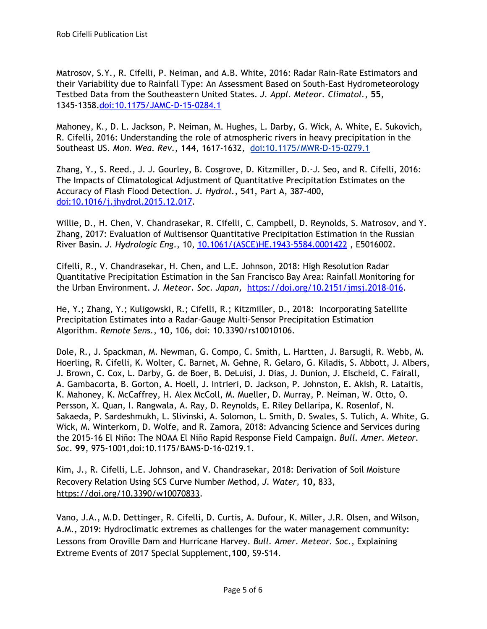Matrosov, S.Y., R. Cifelli, P. Neiman, and A.B. White, 2016: Radar Rain-Rate Estimators and their Variability due to Rainfall Type: An Assessment Based on South-East Hydrometeorology Testbed Data from the Southeastern United States. *J. Appl. Meteor. Climatol.*, **55**, 1345-1358[.doi:10.1175/JAMC-D-15-0284.1](http://dx.doi.org/10.1175/JAMC-D-15-0284.1)

Mahoney, K., D. L. Jackson, P. Neiman, M. Hughes, L. Darby, G. Wick, A. White, E. Sukovich, R. Cifelli, 2016: Understanding the role of atmospheric rivers in heavy precipitation in the Southeast US. *Mon. Wea. Rev*., **144**, 1617-1632, [doi:10.1175/MWR-D-15-0279.1](http://dx.doi.org/10.1175/MWR-D-15-0279.1)

Zhang, Y., S. Reed., J. J. Gourley, B. Cosgrove, D. Kitzmiller, D.-J. Seo, and R. Cifelli, 2016: The Impacts of Climatological Adjustment of Quantitative Precipitation Estimates on the Accuracy of Flash Flood Detection. *J. Hydrol.*, 541, Part A, 387-400, [doi:10.1016/j.jhydrol.2015.12.017.](http://dx.doi.org/10.1016/j.jhydrol.2015.12.017)

Willie, D., H. Chen, V. Chandrasekar, R. Cifelli, C. Campbell, D. Reynolds, S. Matrosov, and Y. Zhang, 2017: Evaluation of Multisensor Quantitative Precipitation Estimation in the Russian River Basin. *J. Hydrologic Eng*., 10, [10.1061/\(ASCE\)HE.1943-5584.0001422](http://ascelibrary.org/doi/abs/10.1061/%28ASCE%29HE.1943-5584.0001422) , E5016002.

Cifelli, R., V. Chandrasekar, H. Chen, and L.E. Johnson, 2018: High Resolution Radar Quantitative Precipitation Estimation in the San Francisco Bay Area: Rainfall Monitoring for the Urban Environment. *J. Meteor. Soc. Japan,* [https://doi.org/10.2151/jmsj.2018-016.](https://doi.org/10.2151/jmsj.2018-016)

He, Y.; Zhang, Y.; Kuligowski, R.; Cifelli, R.; Kitzmiller, D., 2018: Incorporating Satellite Precipitation Estimates into a Radar-Gauge Multi-Sensor Precipitation Estimation Algorithm. *Remote Sens.*, **10**, 106, doi: 10.3390/rs10010106.

Dole, R., J. Spackman, M. Newman, G. Compo, C. Smith, L. Hartten, J. Barsugli, R. Webb, M. Hoerling, R. Cifelli, K. Wolter, C. Barnet, M. Gehne, R. Gelaro, G. Kiladis, S. Abbott, J. Albers, J. Brown, C. Cox, L. Darby, G. de Boer, B. DeLuisi, J. Dias, J. Dunion, J. Eischeid, C. Fairall, A. Gambacorta, B. Gorton, A. Hoell, J. Intrieri, D. Jackson, P. Johnston, E. Akish, R. Lataitis, K. Mahoney, K. McCaffrey, H. Alex McColl, M. Mueller, D. Murray, P. Neiman, W. Otto, O. Persson, X. Quan, I. Rangwala, A. Ray, D. Reynolds, E. Riley Dellaripa, K. Rosenlof, N. Sakaeda, P. Sardeshmukh, L. Slivinski, A. Solomon, L. Smith, D. Swales, S. Tulich, A. White, G. Wick, M. Winterkorn, D. Wolfe, and R. Zamora, 2018: Advancing Science and Services during the 2015-16 El Niño: The NOAA El Niño Rapid Response Field Campaign. *Bull. Amer. Meteor. Soc*. **99**, 975-1001,doi:10.1175/BAMS-D-16-0219.1.

Kim, J., R. Cifelli, L.E. Johnson, and V. Chandrasekar, 2018: Derivation of Soil Moisture Recovery Relation Using SCS Curve Number Method, *J. Water,* **10,** 833, <https://doi.org/10.3390/w10070833>.

Vano, J.A., M.D. Dettinger, R. Cifelli, D. Curtis, A. Dufour, K. Miller, J.R. Olsen, and Wilson, A.M., 2019: Hydroclimatic extremes as challenges for the water management community: Lessons from Oroville Dam and Hurricane Harvey. *Bull. Amer. Meteor. Soc*., Explaining Extreme Events of 2017 Special Supplement,**100**, S9-S14.